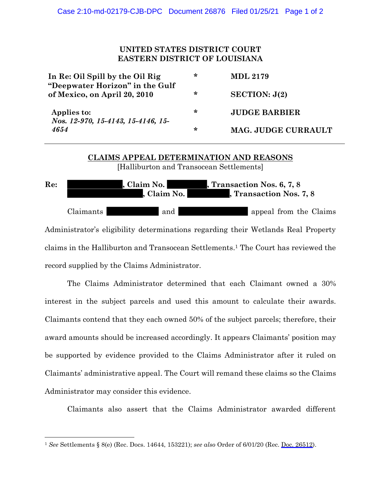## **UNITED STATES DISTRICT COURT EASTERN DISTRICT OF LOUISIANA**

| In Re: Oil Spill by the Oil Rig<br>"Deepwater Horizon" in the Gulf<br>of Mexico, on April 20, 2010 | ∗ | <b>MDL 2179</b>      |
|----------------------------------------------------------------------------------------------------|---|----------------------|
|                                                                                                    | ∗ | SECTION: J(2)        |
| Applies to:<br>Nos. 12-970, 15-4143, 15-4146, 15-<br>4654                                          | ∗ | <b>JUDGE BARBIER</b> |
|                                                                                                    | ∗ | MAG. JUDGE CURRAULT  |

## **CLAIMS APPEAL DETERMINATION AND REASONS** [Halliburton and Transocean Settlements]

Re: **Recession Ros. , Claim No. , Transaction Nos. 6, 7, 8** , Claim No. **1986**, Transaction Nos. 7, 8 Claimants and and appeal from the Claims Administrator's eligibility determinations regarding their Wetlands Real Property claims in the Halliburton and Transocean Settlements. <sup>1</sup> The Court has reviewed the record supplied by the Claims Administrator.

The Claims Administrator determined that each Claimant owned a 30% interest in the subject parcels and used this amount to calculate their awards. Claimants contend that they each owned 50% of the subject parcels; therefore, their award amounts should be increased accordingly. It appears Claimants' position may be supported by evidence provided to the Claims Administrator after it ruled on Claimants' administrative appeal. The Court will remand these claims so the Claims Administrator may consider this evidence.

Claimants also assert that the Claims Administrator awarded different

<sup>1</sup> *See* Settlements § 8(e) (Rec. Docs. 14644, 153221); *see also* Order of 6/01/20 (Rec. Doc. 26512).